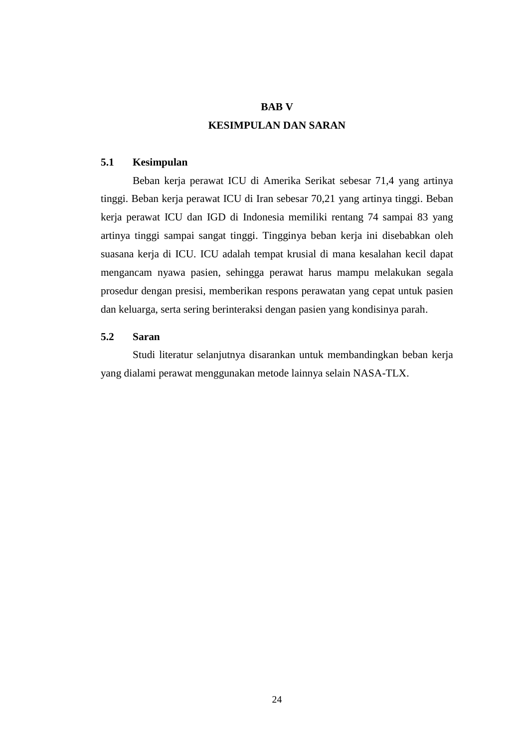## **BAB V**

# **KESIMPULAN DAN SARAN**

#### **5.1 Kesimpulan**

Beban kerja perawat ICU di Amerika Serikat sebesar 71,4 yang artinya tinggi. Beban kerja perawat ICU di Iran sebesar 70,21 yang artinya tinggi. Beban kerja perawat ICU dan IGD di Indonesia memiliki rentang 74 sampai 83 yang artinya tinggi sampai sangat tinggi. Tingginya beban kerja ini disebabkan oleh suasana kerja di ICU. ICU adalah tempat krusial di mana kesalahan kecil dapat mengancam nyawa pasien, sehingga perawat harus mampu melakukan segala prosedur dengan presisi, memberikan respons perawatan yang cepat untuk pasien dan keluarga, serta sering berinteraksi dengan pasien yang kondisinya parah.

## **5.2 Saran**

Studi literatur selanjutnya disarankan untuk membandingkan beban kerja yang dialami perawat menggunakan metode lainnya selain NASA-TLX.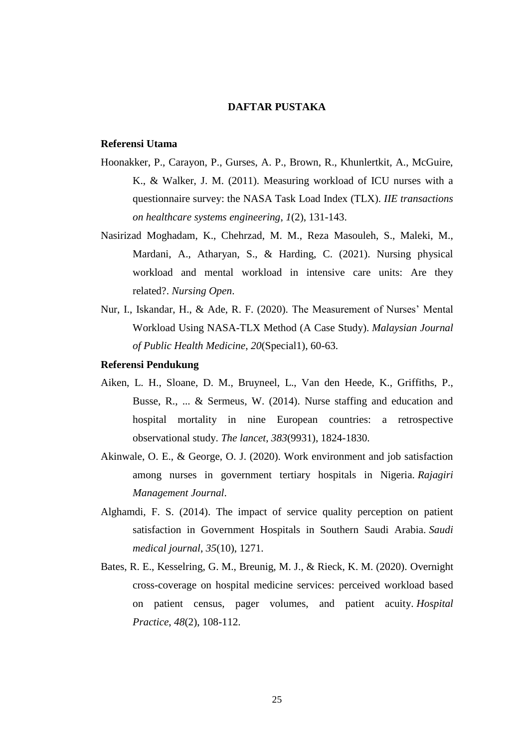#### **DAFTAR PUSTAKA**

### **Referensi Utama**

- Hoonakker, P., Carayon, P., Gurses, A. P., Brown, R., Khunlertkit, A., McGuire, K., & Walker, J. M. (2011). Measuring workload of ICU nurses with a questionnaire survey: the NASA Task Load Index (TLX). *IIE transactions on healthcare systems engineering*, *1*(2), 131-143.
- Nasirizad Moghadam, K., Chehrzad, M. M., Reza Masouleh, S., Maleki, M., Mardani, A., Atharyan, S., & Harding, C. (2021). Nursing physical workload and mental workload in intensive care units: Are they related?. *Nursing Open*.
- Nur, I., Iskandar, H., & Ade, R. F. (2020). The Measurement of Nurses' Mental Workload Using NASA-TLX Method (A Case Study). *Malaysian Journal of Public Health Medicine*, *20*(Special1), 60-63.

### **Referensi Pendukung**

- Aiken, L. H., Sloane, D. M., Bruyneel, L., Van den Heede, K., Griffiths, P., Busse, R., ... & Sermeus, W. (2014). Nurse staffing and education and hospital mortality in nine European countries: a retrospective observational study. *The lancet*, *383*(9931), 1824-1830.
- Akinwale, O. E., & George, O. J. (2020). Work environment and job satisfaction among nurses in government tertiary hospitals in Nigeria. *Rajagiri Management Journal*.
- Alghamdi, F. S. (2014). The impact of service quality perception on patient satisfaction in Government Hospitals in Southern Saudi Arabia. *Saudi medical journal*, *35*(10), 1271.
- Bates, R. E., Kesselring, G. M., Breunig, M. J., & Rieck, K. M. (2020). Overnight cross-coverage on hospital medicine services: perceived workload based on patient census, pager volumes, and patient acuity. *Hospital Practice*, *48*(2), 108-112.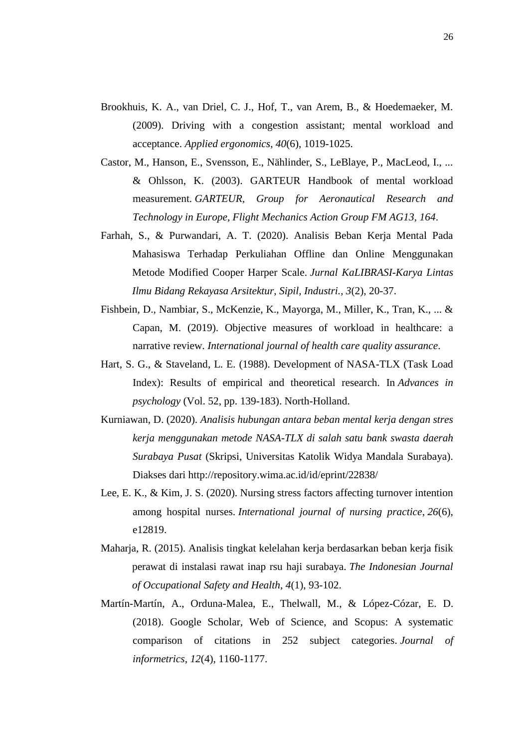- Brookhuis, K. A., van Driel, C. J., Hof, T., van Arem, B., & Hoedemaeker, M. (2009). Driving with a congestion assistant; mental workload and acceptance. *Applied ergonomics*, *40*(6), 1019-1025.
- Castor, M., Hanson, E., Svensson, E., Nählinder, S., LeBlaye, P., MacLeod, I., ... & Ohlsson, K. (2003). GARTEUR Handbook of mental workload measurement. *GARTEUR, Group for Aeronautical Research and Technology in Europe, Flight Mechanics Action Group FM AG13*, *164*.
- Farhah, S., & Purwandari, A. T. (2020). Analisis Beban Kerja Mental Pada Mahasiswa Terhadap Perkuliahan Offline dan Online Menggunakan Metode Modified Cooper Harper Scale. *Jurnal KaLIBRASI-Karya Lintas Ilmu Bidang Rekayasa Arsitektur, Sipil, Industri.*, *3*(2), 20-37.
- Fishbein, D., Nambiar, S., McKenzie, K., Mayorga, M., Miller, K., Tran, K., ... & Capan, M. (2019). Objective measures of workload in healthcare: a narrative review. *International journal of health care quality assurance*.
- Hart, S. G., & Staveland, L. E. (1988). Development of NASA-TLX (Task Load Index): Results of empirical and theoretical research. In *Advances in psychology* (Vol. 52, pp. 139-183). North-Holland.
- Kurniawan, D. (2020). *Analisis hubungan antara beban mental kerja dengan stres kerja menggunakan metode NASA-TLX di salah satu bank swasta daerah Surabaya Pusat* (Skripsi, Universitas Katolik Widya Mandala Surabaya). Diakses dari http://repository.wima.ac.id/id/eprint/22838/
- Lee, E. K., & Kim, J. S. (2020). Nursing stress factors affecting turnover intention among hospital nurses. *International journal of nursing practice*, *26*(6), e12819.
- Maharja, R. (2015). Analisis tingkat kelelahan kerja berdasarkan beban kerja fisik perawat di instalasi rawat inap rsu haji surabaya. *The Indonesian Journal of Occupational Safety and Health*, *4*(1), 93-102.
- Martín-Martín, A., Orduna-Malea, E., Thelwall, M., & López-Cózar, E. D. (2018). Google Scholar, Web of Science, and Scopus: A systematic comparison of citations in 252 subject categories. *Journal of informetrics*, *12*(4), 1160-1177.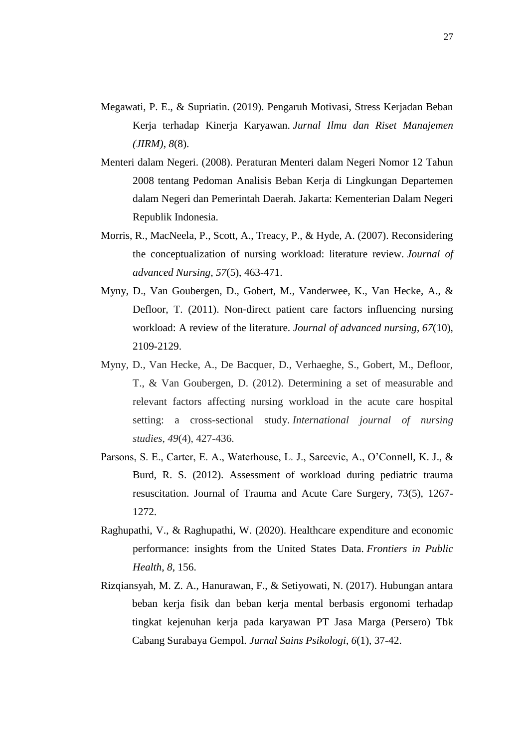- Megawati, P. E., & Supriatin. (2019). Pengaruh Motivasi, Stress Kerjadan Beban Kerja terhadap Kinerja Karyawan. *Jurnal Ilmu dan Riset Manajemen (JIRM)*, *8*(8).
- Menteri dalam Negeri. (2008). Peraturan Menteri dalam Negeri Nomor 12 Tahun 2008 tentang Pedoman Analisis Beban Kerja di Lingkungan Departemen dalam Negeri dan Pemerintah Daerah. Jakarta: Kementerian Dalam Negeri Republik Indonesia.
- Morris, R., MacNeela, P., Scott, A., Treacy, P., & Hyde, A. (2007). Reconsidering the conceptualization of nursing workload: literature review. *Journal of advanced Nursing*, *57*(5), 463-471.
- Myny, D., Van Goubergen, D., Gobert, M., Vanderwee, K., Van Hecke, A., & Defloor, T. (2011). Non-direct patient care factors influencing nursing workload: A review of the literature. *Journal of advanced nursing*, *67*(10), 2109-2129.
- Myny, D., Van Hecke, A., De Bacquer, D., Verhaeghe, S., Gobert, M., Defloor, T., & Van Goubergen, D. (2012). Determining a set of measurable and relevant factors affecting nursing workload in the acute care hospital setting: a cross-sectional study. *International journal of nursing studies*, *49*(4), 427-436.
- Parsons, S. E., Carter, E. A., Waterhouse, L. J., Sarcevic, A., O'Connell, K. J., & Burd, R. S. (2012). Assessment of workload during pediatric trauma resuscitation. Journal of Trauma and Acute Care Surgery, 73(5), 1267- 1272.
- Raghupathi, V., & Raghupathi, W. (2020). Healthcare expenditure and economic performance: insights from the United States Data. *Frontiers in Public Health*, *8*, 156.
- Rizqiansyah, M. Z. A., Hanurawan, F., & Setiyowati, N. (2017). Hubungan antara beban kerja fisik dan beban kerja mental berbasis ergonomi terhadap tingkat kejenuhan kerja pada karyawan PT Jasa Marga (Persero) Tbk Cabang Surabaya Gempol. *Jurnal Sains Psikologi*, *6*(1), 37-42.